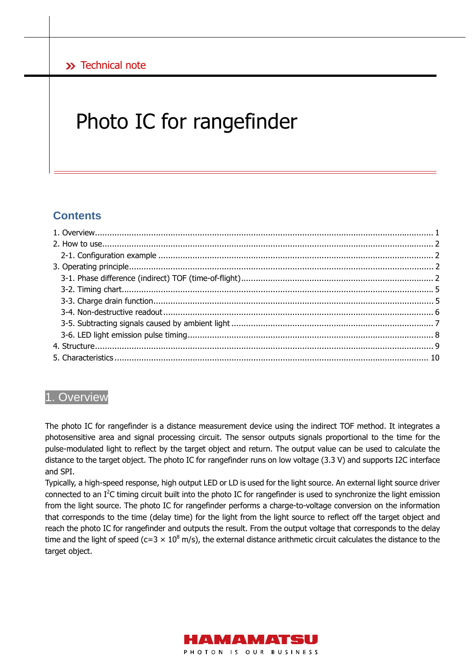# Photo IC for rangefinder

# **Contents**

# 1. Overview

The photo IC for rangefinder is a distance measurement device using the indirect TOF method. It integrates a photosensitive area and signal processing circuit. The sensor outputs signals proportional to the time for the pulse-modulated light to reflect by the target object and return. The output value can be used to calculate the distance to the target object. The photo IC for rangefinder runs on low voltage (3.3 V) and supports I2C interface and SPI.

Typically, a high-speed response, high output LED or LD is used for the light source. An external light source driver connected to an  $I^2C$  timing circuit built into the photo IC for rangefinder is used to synchronize the light emission from the light source. The photo IC for rangefinder performs a charge-to-voltage conversion on the information that corresponds to the time (delay time) for the light from the light source to reflect off the target object and reach the photo IC for rangefinder and outputs the result. From the output voltage that corresponds to the delay time and the light of speed (c=3  $\times$  10<sup>8</sup> m/s), the external distance arithmetic circuit calculates the distance to the target object.

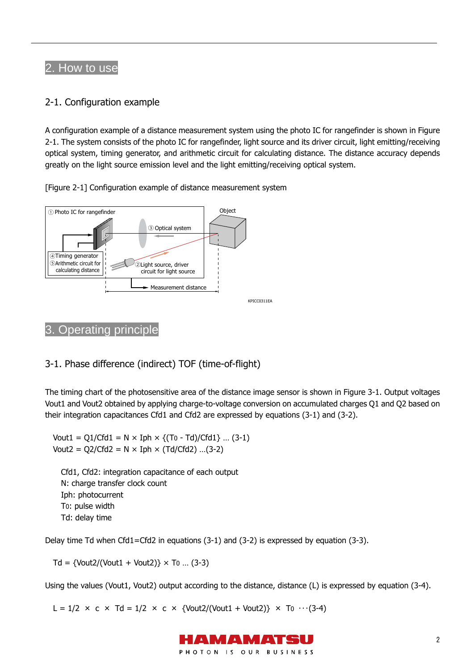# 2. How to use

# 2-1. Configuration example

A configuration example of a distance measurement system using the photo IC for rangefinder is shown in Figure 2-1. The system consists of the photo IC for rangefinder, light source and its driver circuit, light emitting/receiving optical system, timing generator, and arithmetic circuit for calculating distance. The distance accuracy depends greatly on the light source emission level and the light emitting/receiving optical system.





# 3. Operating principle

# 3-1. Phase difference (indirect) TOF (time-of-flight)

The timing chart of the photosensitive area of the distance image sensor is shown in Figure 3-1. Output voltages Vout1 and Vout2 obtained by applying charge-to-voltage conversion on accumulated charges Q1 and Q2 based on their integration capacitances Cfd1 and Cfd2 are expressed by equations (3-1) and (3-2).

Vout1 = Q1/Cfd1 =  $N \times Iph \times \{(T_0 - Td)/Cfd1\}$  ... (3-1) Vout2 =  $Q2/Cfd2 = N \times Iph \times (Td/Cfd2)$  ...(3-2)

Cfd1, Cfd2: integration capacitance of each output N: charge transfer clock count Iph: photocurrent T0: pulse width Td: delay time

Delay time Td when Cfd1=Cfd2 in equations (3-1) and (3-2) is expressed by equation (3-3).

 $Td = \{Vout2/(Vout1 + Vout2)\} \times To ... (3-3)$ 

Using the values (Vout1, Vout2) output according to the distance, distance (L) is expressed by equation (3-4).

L =  $1/2 \times c \times Td = 1/2 \times c \times \{Vout2/(Vout1 + Vout2)\} \times T0$  ...(3-4)

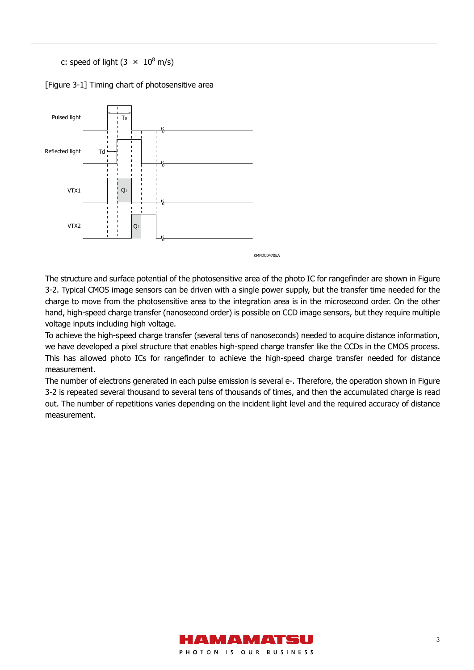c: speed of light  $(3 \times 10^8 \text{ m/s})$ 

[Figure 3-1] Timing chart of photosensitive area



The structure and surface potential of the photosensitive area of the photo IC for rangefinder are shown in Figure 3-2. Typical CMOS image sensors can be driven with a single power supply, but the transfer time needed for the charge to move from the photosensitive area to the integration area is in the microsecond order. On the other hand, high-speed charge transfer (nanosecond order) is possible on CCD image sensors, but they require multiple voltage inputs including high voltage.

To achieve the high-speed charge transfer (several tens of nanoseconds) needed to acquire distance information, we have developed a pixel structure that enables high-speed charge transfer like the CCDs in the CMOS process. This has allowed photo ICs for rangefinder to achieve the high-speed charge transfer needed for distance measurement.

The number of electrons generated in each pulse emission is several e-. Therefore, the operation shown in Figure 3-2 is repeated several thousand to several tens of thousands of times, and then the accumulated charge is read out. The number of repetitions varies depending on the incident light level and the required accuracy of distance measurement.

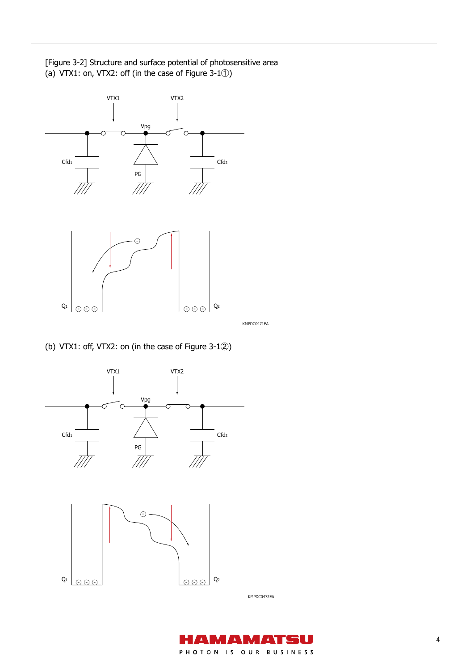[Figure 3-2] Structure and surface potential of photosensitive area (a) VTX1: on, VTX2: off (in the case of Figure 3-1①)



(b) VTX1: off, VTX2: on (in the case of Figure 3-1②)



H I  $\pmb{\lambda}$  $\blacktriangle$ . .  $\pmb{\Lambda}$ PHOTON IS OUR BUSINESS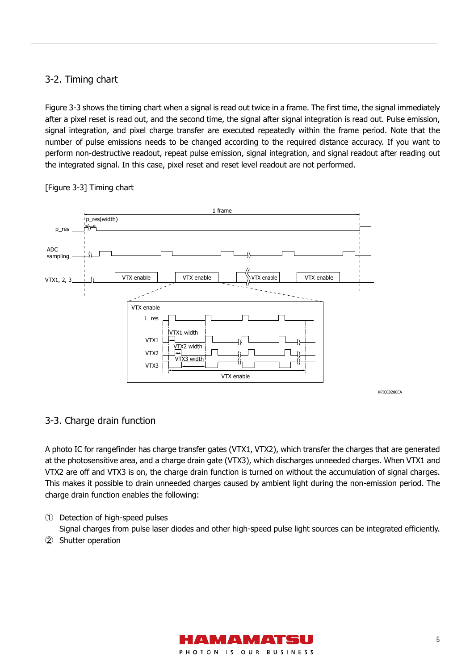# 3-2. Timing chart

Figure 3-3 shows the timing chart when a signal is read out twice in a frame. The first time, the signal immediately after a pixel reset is read out, and the second time, the signal after signal integration is read out. Pulse emission, signal integration, and pixel charge transfer are executed repeatedly within the frame period. Note that the number of pulse emissions needs to be changed according to the required distance accuracy. If you want to perform non-destructive readout, repeat pulse emission, signal integration, and signal readout after reading out the integrated signal. In this case, pixel reset and reset level readout are not performed.



### [Figure 3-3] Timing chart

# 3-3. Charge drain function

A photo IC for rangefinder has charge transfer gates (VTX1, VTX2), which transfer the charges that are generated at the photosensitive area, and a charge drain gate (VTX3), which discharges unneeded charges. When VTX1 and VTX2 are off and VTX3 is on, the charge drain function is turned on without the accumulation of signal charges. This makes it possible to drain unneeded charges caused by ambient light during the non-emission period. The charge drain function enables the following:

① Detection of high-speed pulses

Signal charges from pulse laser diodes and other high-speed pulse light sources can be integrated efficiently.

② Shutter operation

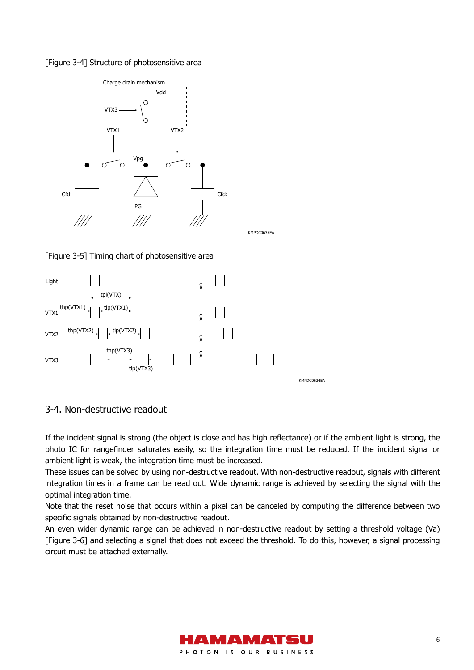[Figure 3-4] Structure of photosensitive area



[Figure 3-5] Timing chart of photosensitive area





If the incident signal is strong (the object is close and has high reflectance) or if the ambient light is strong, the photo IC for rangefinder saturates easily, so the integration time must be reduced. If the incident signal or ambient light is weak, the integration time must be increased.

These issues can be solved by using non-destructive readout. With non-destructive readout, signals with different integration times in a frame can be read out. Wide dynamic range is achieved by selecting the signal with the optimal integration time.

Note that the reset noise that occurs within a pixel can be canceled by computing the difference between two specific signals obtained by non-destructive readout.

An even wider dynamic range can be achieved in non-destructive readout by setting a threshold voltage (Va) [Figure 3-6] and selecting a signal that does not exceed the threshold. To do this, however, a signal processing circuit must be attached externally.

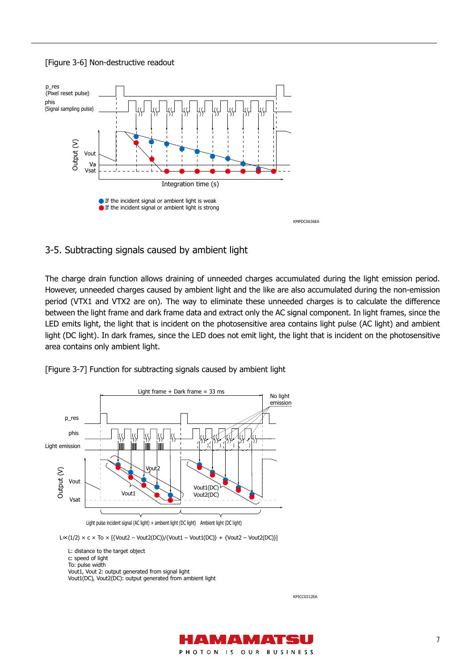#### [Figure 3-6] Non-destructive readout



### 3-5. Subtracting signals caused by ambient light

The charge drain function allows draining of unneeded charges accumulated during the light emission period. However, unneeded charges caused by ambient light and the like are also accumulated during the non-emission period (VTX1 and VTX2 are on). The way to eliminate these unneeded charges is to calculate the difference between the light frame and dark frame data and extract only the AC signal component. In light frames, since the LED emits light, the light that is incident on the photosensitive area contains light pulse (AC light) and ambient light (DC light). In dark frames, since the LED does not emit light, the light that is incident on the photosensitive area contains only ambient light.

[Figure 3-7] Function for subtracting signals caused by ambient light



Light pulse incident signal (AC light) + ambient light (DC light) Ambient light (DC light)

L∝(1/2) × c × To × [{Vout2 – Vout2(DC)}/{Vout1 – Vout1(DC)} + {Vout2 – Vout2(DC)}]

L: distance to the target object c: speed of light To: pulse width Vout1, Vout 2: output generated from signal light Vout1(DC), Vout2(DC): output generated from ambient light

KPICC0312EA

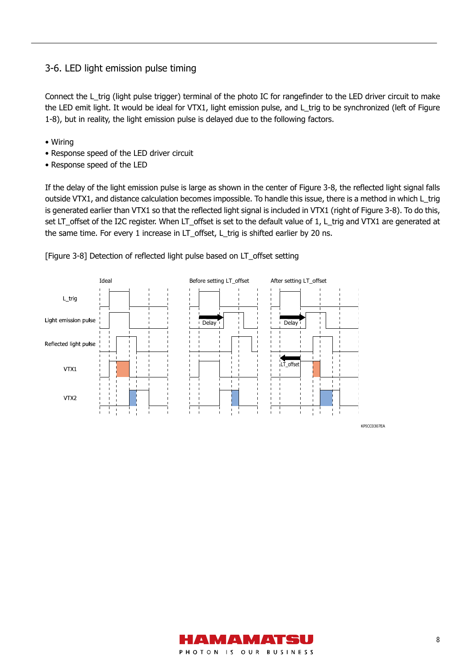# 3-6. LED light emission pulse timing

Connect the L\_trig (light pulse trigger) terminal of the photo IC for rangefinder to the LED driver circuit to make the LED emit light. It would be ideal for VTX1, light emission pulse, and L\_trig to be synchronized (left of Figure 1-8), but in reality, the light emission pulse is delayed due to the following factors.

- Wiring
- Response speed of the LED driver circuit
- Response speed of the LED

If the delay of the light emission pulse is large as shown in the center of Figure 3-8, the reflected light signal falls outside VTX1, and distance calculation becomes impossible. To handle this issue, there is a method in which L\_trig is generated earlier than VTX1 so that the reflected light signal is included in VTX1 (right of Figure 3-8). To do this, set LT\_offset of the I2C register. When LT\_offset is set to the default value of 1, L\_trig and VTX1 are generated at the same time. For every 1 increase in LT\_offset, L\_trig is shifted earlier by 20 ns.



[Figure 3-8] Detection of reflected light pulse based on LT\_offset setting



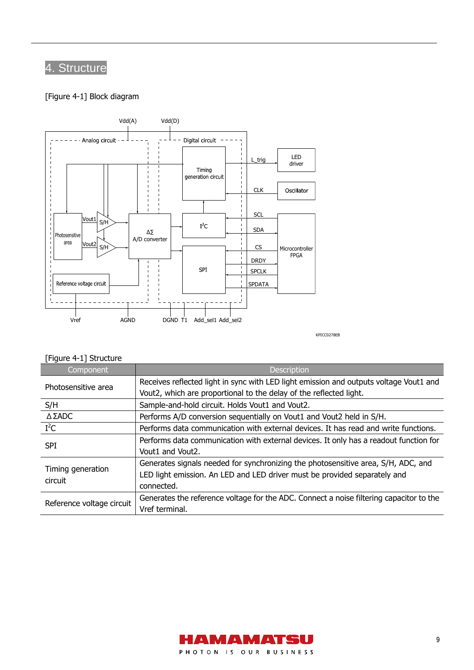# 4. Structure

### [Figure 4-1] Block diagram



KPICC0278EB

# [Figure 4-1] Structure

| Component                    | <b>Description</b>                                                                      |
|------------------------------|-----------------------------------------------------------------------------------------|
| Photosensitive area          | Receives reflected light in sync with LED light emission and outputs voltage Vout1 and  |
|                              | Vout2, which are proportional to the delay of the reflected light.                      |
| S/H                          | Sample-and-hold circuit. Holds Vout1 and Vout2.                                         |
| $\triangle$ $\Sigma$ ADC     | Performs A/D conversion sequentially on Vout1 and Vout2 held in S/H.                    |
| $I^2C$                       | Performs data communication with external devices. It has read and write functions.     |
| <b>SPI</b>                   | Performs data communication with external devices. It only has a readout function for   |
|                              | Vout1 and Vout2.                                                                        |
| Timing generation<br>circuit | Generates signals needed for synchronizing the photosensitive area, S/H, ADC, and       |
|                              | LED light emission. An LED and LED driver must be provided separately and               |
|                              | connected.                                                                              |
| Reference voltage circuit    | Generates the reference voltage for the ADC. Connect a noise filtering capacitor to the |
|                              | Vref terminal.                                                                          |

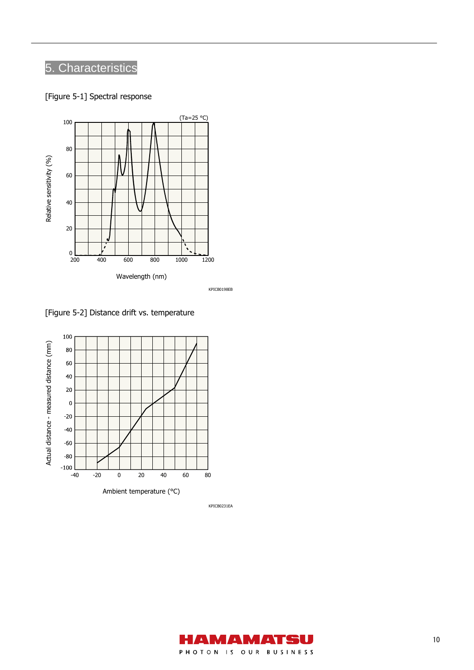# 5. Characteristics

[Figure 5-1] Spectral response



KPICB0198EB

[Figure 5-2] Distance drift vs. temperature



KPICB0231EA

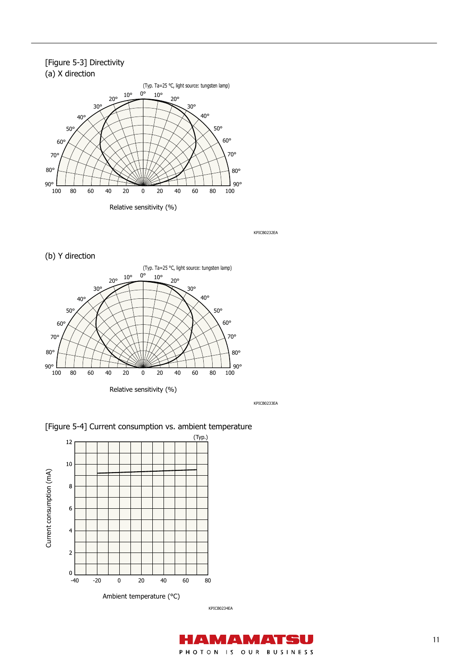### [Figure 5-3] Directivity (a) X direction



KPICB0232EA

(b) Y direction



KPICB0233EA

[Figure 5-4] Current consumption vs. ambient temperature